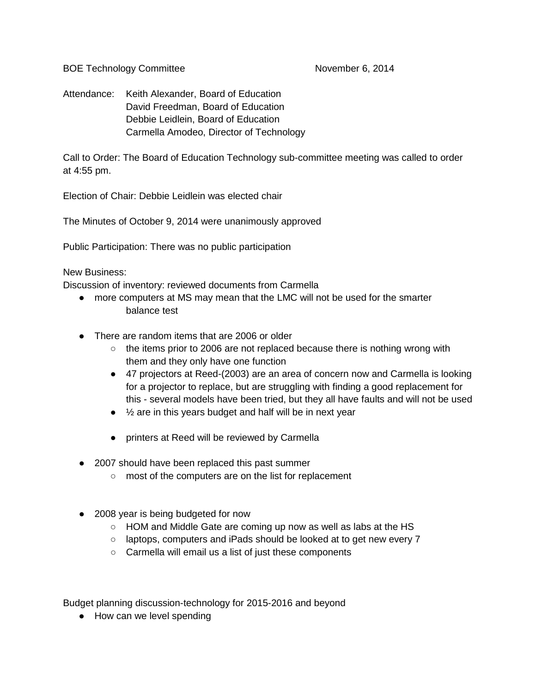BOE Technology Committee November 6, 2014

Attendance: Keith Alexander, Board of Education David Freedman, Board of Education Debbie Leidlein, Board of Education Carmella Amodeo, Director of Technology

Call to Order: The Board of Education Technology sub-committee meeting was called to order at 4:55 pm.

Election of Chair: Debbie Leidlein was elected chair

The Minutes of October 9, 2014 were unanimously approved

Public Participation: There was no public participation

New Business:

Discussion of inventory: reviewed documents from Carmella

- more computers at MS may mean that the LMC will not be used for the smarter balance test
- There are random items that are 2006 or older
	- $\circ$  the items prior to 2006 are not replaced because there is nothing wrong with them and they only have one function
	- 47 projectors at Reed-(2003) are an area of concern now and Carmella is looking for a projector to replace, but are struggling with finding a good replacement for this - several models have been tried, but they all have faults and will not be used
	- $\bullet$   $\frac{1}{2}$  are in this years budget and half will be in next year
	- printers at Reed will be reviewed by Carmella
- 2007 should have been replaced this past summer
	- most of the computers are on the list for replacement
- 2008 year is being budgeted for now
	- HOM and Middle Gate are coming up now as well as labs at the HS
	- laptops, computers and iPads should be looked at to get new every 7
	- Carmella will email us a list of just these components

Budget planning discussion-technology for 2015-2016 and beyond

● How can we level spending